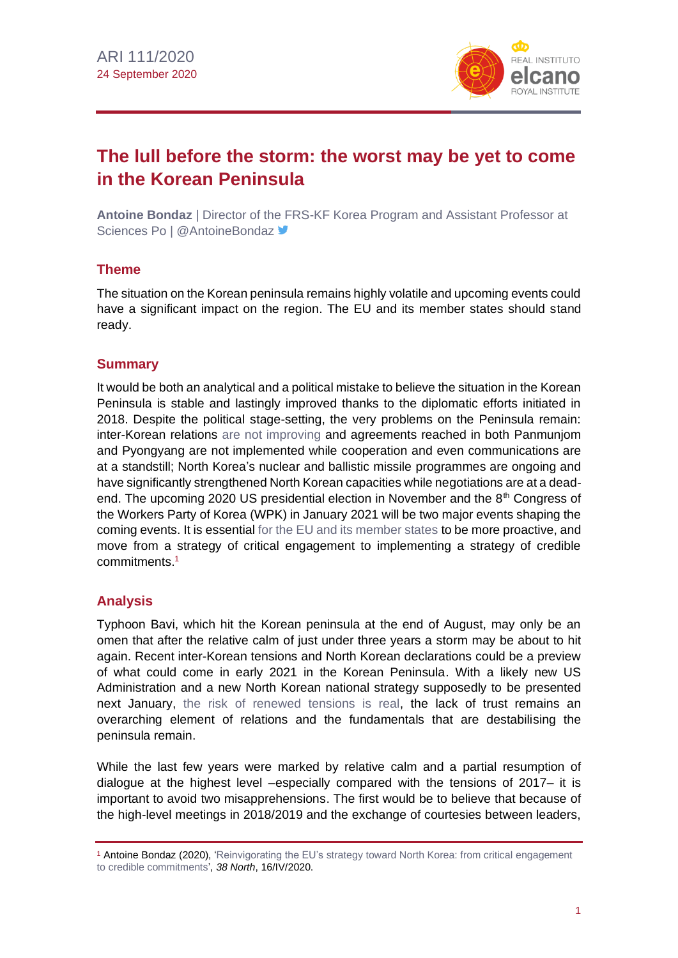

# **The lull before the storm: the worst may be yet to come in the Korean Peninsula**

**Antoine Bondaz** | Director of the FRS-KF Korea Program and Assistant Professor at Sciences Po | @AntoineBondaz

## **Theme**

The situation on the Korean peninsula remains highly volatile and upcoming events could have a significant impact on the region. The EU and its member states should stand ready.

## **Summary**

It would be both an analytical and a political mistake to believe the situation in the Korean Peninsula is stable and lastingly improved thanks to the diplomatic efforts initiated in 2018. Despite the political stage-setting, the very problems on the Peninsula remain: inter-Korean relations [are not improving](http://www.realinstitutoelcano.org/wps/portal/rielcano_en/contenido?WCM_GLOBAL_CONTEXT=/elcano/elcano_in/zonas_in/ari93-2019-pacheco-pardo-negotiations-with-north-korea-reviving-a-stalled-process) and agreements reached in both Panmunjom and Pyongyang are not implemented while cooperation and even communications are at a standstill; North Korea's nuclear and ballistic missile programmes are ongoing and have significantly strengthened North Korean capacities while negotiations are at a deadend. The upcoming 2020 US presidential election in November and the  $8<sup>th</sup>$  Congress of the Workers Party of Korea (WPK) in January 2021 will be two major events shaping the coming events. It is essentia[l for the EU and its member states](http://www.realinstitutoelcano.org/wps/portal/rielcano_en/contenido?WCM_GLOBAL_CONTEXT=/elcano/elcano_in/zonas_in/europa/wp1-2018-esteban-eu-role-stabilising-korean-peninsula) to be more proactive, and move from a strategy of critical engagement to implementing a strategy of credible commitments. 1

## **Analysis**

Typhoon Bavi, which hit the Korean peninsula at the end of August, may only be an omen that after the relative calm of just under three years a storm may be about to hit again. Recent inter-Korean tensions and North Korean declarations could be a preview of what could come in early 2021 in the Korean Peninsula. With a likely new US Administration and a new North Korean national strategy supposedly to be presented next January, [the risk of renewed tensions is real,](http://www.realinstitutoelcano.org/wps/portal/rielcano_en/contenido?WCM_GLOBAL_CONTEXT=/elcano/elcano_in/zonas_in/ari52-2017-arteaga-esteban-how-can-military-conflict-korea-peninsula-avoided) the lack of trust remains an overarching element of relations and the fundamentals that are destabilising the peninsula remain.

While the last few years were marked by relative calm and a partial resumption of dialogue at the highest level –especially compared with the tensions of 2017– it is important to avoid two misapprehensions. The first would be to believe that because of the high-level meetings in 2018/2019 and the exchange of courtesies between leaders,

<sup>1</sup> Antoine Bondaz (2020), ['Reinvigorating the EU's strategy toward North Korea: from critical engagement](https://www.38north.org/2020/04/abondaz041620/)  [to credible commitments',](https://www.38north.org/2020/04/abondaz041620/) *38 North*, 16/IV/2020.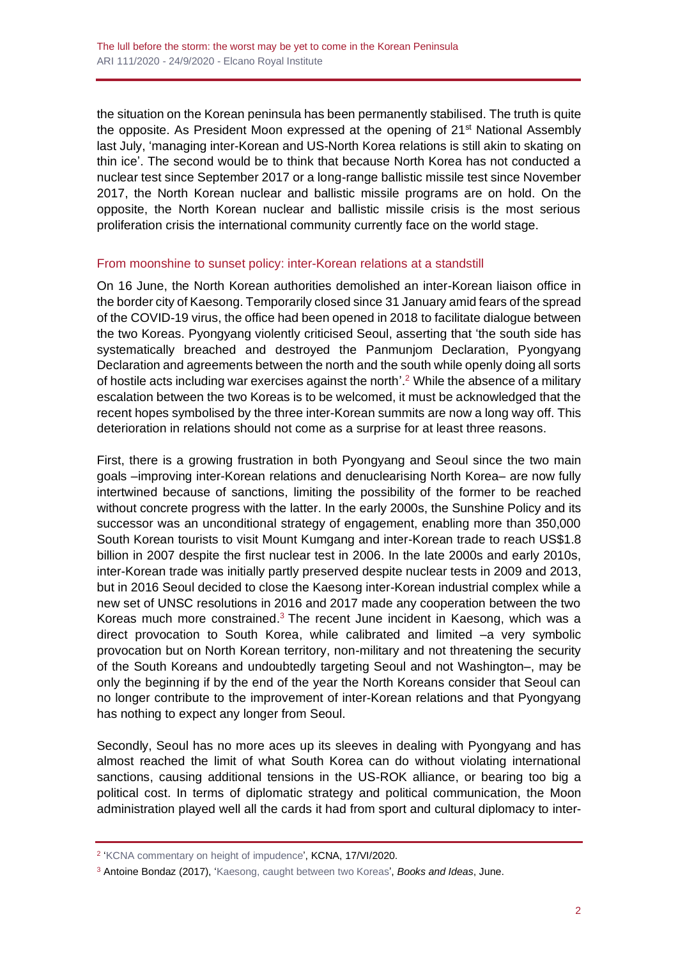the situation on the Korean peninsula has been permanently stabilised. The truth is quite the opposite. As President Moon expressed at the opening of 21<sup>st</sup> National Assembly last July, 'managing inter-Korean and US-North Korea relations is still akin to skating on thin ice'. The second would be to think that because North Korea has not conducted a nuclear test since September 2017 or a long-range ballistic missile test since November 2017, the North Korean nuclear and ballistic missile programs are on hold. On the opposite, the North Korean nuclear and ballistic missile crisis is the most serious proliferation crisis the international community currently face on the world stage.

## From moonshine to sunset policy: inter-Korean relations at a standstill

On 16 June, the North Korean authorities demolished an inter-Korean liaison office in the border city of Kaesong. Temporarily closed since 31 January amid fears of the spread of the COVID-19 virus, the office had been opened in 2018 to facilitate dialogue between the two Koreas. Pyongyang violently criticised Seoul, asserting that 'the south side has systematically breached and destroyed the Panmunjom Declaration, Pyongyang Declaration and agreements between the north and the south while openly doing all sorts of hostile acts including war exercises against the north'.<sup>2</sup> While the absence of a military escalation between the two Koreas is to be welcomed, it must be acknowledged that the recent hopes symbolised by the three inter-Korean summits are now a long way off. This deterioration in relations should not come as a surprise for at least three reasons.

First, there is a growing frustration in both Pyongyang and Seoul since the two main goals –improving inter-Korean relations and denuclearising North Korea– are now fully intertwined because of sanctions, limiting the possibility of the former to be reached without concrete progress with the latter. In the early 2000s, the Sunshine Policy and its successor was an unconditional strategy of engagement, enabling more than 350,000 South Korean tourists to visit Mount Kumgang and inter-Korean trade to reach US\$1.8 billion in 2007 despite the first nuclear test in 2006. In the late 2000s and early 2010s, inter-Korean trade was initially partly preserved despite nuclear tests in 2009 and 2013, but in 2016 Seoul decided to close the Kaesong inter-Korean industrial complex while a new set of UNSC resolutions in 2016 and 2017 made any cooperation between the two Koreas much more constrained.<sup>3</sup> The recent June incident in Kaesong, which was a direct provocation to South Korea, while calibrated and limited –a very symbolic provocation but on North Korean territory, non-military and not threatening the security of the South Koreans and undoubtedly targeting Seoul and not Washington–, may be only the beginning if by the end of the year the North Koreans consider that Seoul can no longer contribute to the improvement of inter-Korean relations and that Pyongyang has nothing to expect any longer from Seoul.

Secondly, Seoul has no more aces up its sleeves in dealing with Pyongyang and has almost reached the limit of what South Korea can do without violating international sanctions, causing additional tensions in the US-ROK alliance, or bearing too big a political cost. In terms of diplomatic strategy and political communication, the Moon administration played well all the cards it had from sport and cultural diplomacy to inter-

<sup>&</sup>lt;sup>2</sup> ['KCNA commentary on height of impudence'](https://kcnawatch.org/newstream/1592345824-27610560/kcna-commentary-on-height-of-impudence/?t=1592354447825), KCNA, 17/VI/2020.

<sup>3</sup> Antoine Bondaz (2017), ['Kaesong, caught between two Koreas',](http://www.booksandideas.net/Kaesong-Caught-between-Two-Koreas.html) *Books and Ideas*, June.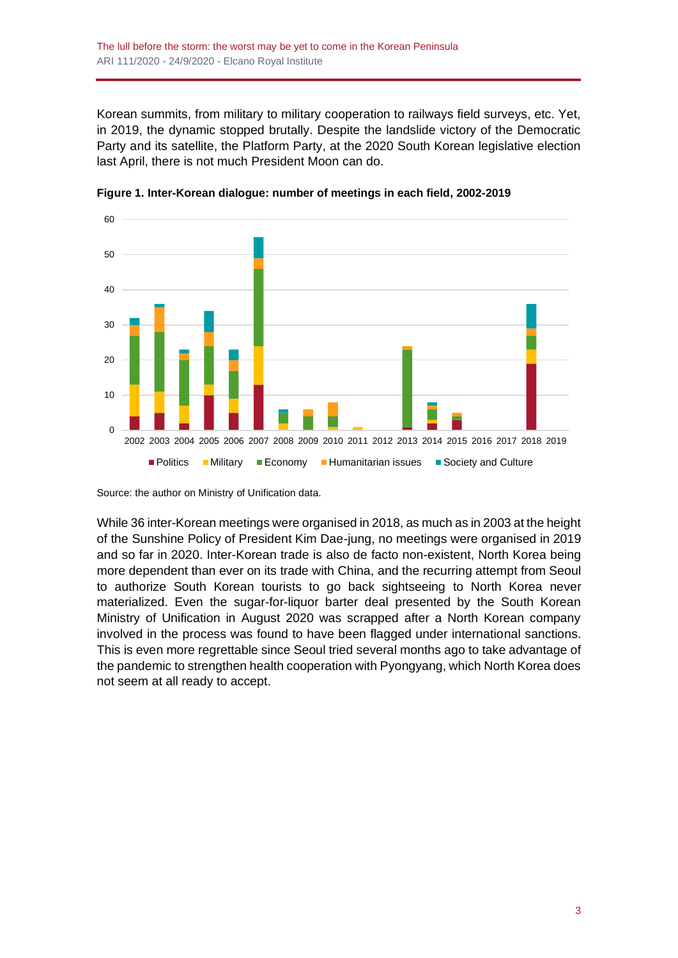Korean summits, from military to military cooperation to railways field surveys, etc. Yet, in 2019, the dynamic stopped brutally. Despite the landslide victory of the Democratic Party and its satellite, the Platform Party, at the 2020 South Korean legislative election last April, there is not much President Moon can do.



**Figure 1. Inter-Korean dialogue: number of meetings in each field, 2002-2019**

Source: the author on Ministry of Unification data.

While 36 inter-Korean meetings were organised in 2018, as much as in 2003 at the height of the Sunshine Policy of President Kim Dae-jung, no meetings were organised in 2019 and so far in 2020. Inter-Korean trade is also de facto non-existent, North Korea being more dependent than ever on its trade with China, and the recurring attempt from Seoul to authorize South Korean tourists to go back sightseeing to North Korea never materialized. Even the sugar-for-liquor barter deal presented by the South Korean Ministry of Unification in August 2020 was scrapped after a North Korean company involved in the process was found to have been flagged under international sanctions. This is even more regrettable since Seoul tried several months ago to take advantage of the pandemic to strengthen health cooperation with Pyongyang, which North Korea does not seem at all ready to accept.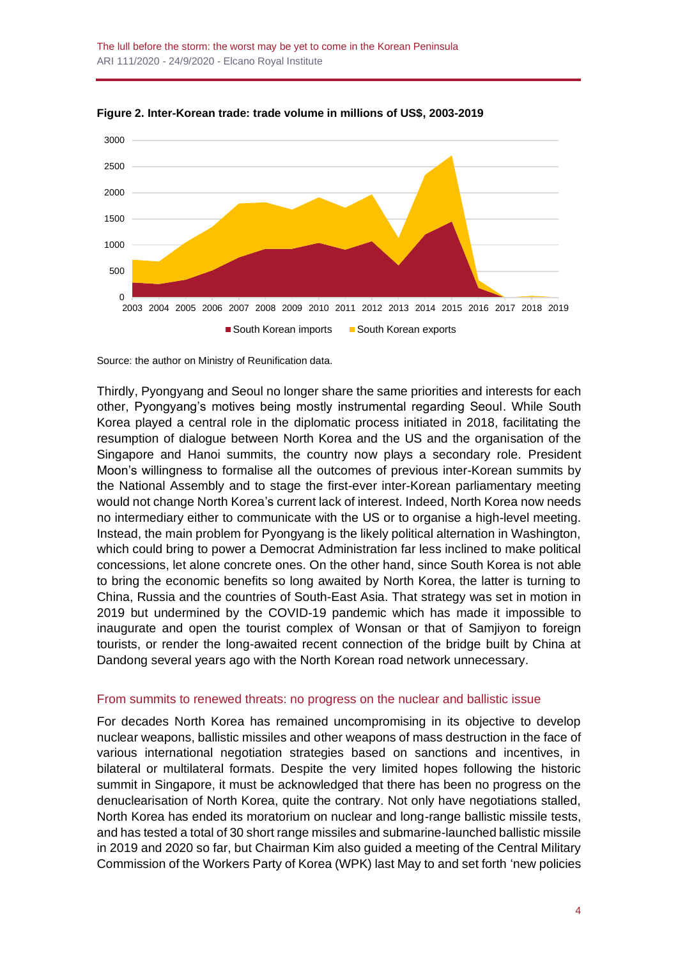The lull before the storm: the worst may be yet to come in the Korean Peninsula ARI 111/2020 - 24/9/2020 - Elcano Royal Institute



**Figure 2. Inter-Korean trade: trade volume in millions of US\$, 2003-2019**

Thirdly, Pyongyang and Seoul no longer share the same priorities and interests for each other, Pyongyang's motives being mostly instrumental regarding Seoul. While South Korea played a central role in the diplomatic process initiated in 2018, facilitating the resumption of dialogue between North Korea and the US and the organisation of the Singapore and Hanoi summits, the country now plays a secondary role. President Moon's willingness to formalise all the outcomes of previous inter-Korean summits by the National Assembly and to stage the first-ever inter-Korean parliamentary meeting would not change North Korea's current lack of interest. Indeed, North Korea now needs no intermediary either to communicate with the US or to organise a high-level meeting. Instead, the main problem for Pyongyang is the likely political alternation in Washington, which could bring to power a Democrat Administration far less inclined to make political concessions, let alone concrete ones. On the other hand, since South Korea is not able to bring the economic benefits so long awaited by North Korea, the latter is turning to China, Russia and the countries of South-East Asia. That strategy was set in motion in 2019 but undermined by the COVID-19 pandemic which has made it impossible to inaugurate and open the tourist complex of Wonsan or that of Samjiyon to foreign tourists, or render the long-awaited recent connection of the bridge built by China at Dandong several years ago with the North Korean road network unnecessary.

#### From summits to renewed threats: no progress on the nuclear and ballistic issue

For decades North Korea has remained uncompromising in its objective to develop nuclear weapons, ballistic missiles and other weapons of mass destruction in the face of various international negotiation strategies based on sanctions and incentives, in bilateral or multilateral formats. Despite the very limited hopes following the historic summit in Singapore, it must be acknowledged that there has been no progress on the denuclearisation of North Korea, quite the contrary. Not only have negotiations stalled, North Korea has ended its moratorium on nuclear and long-range ballistic missile tests, and has tested a total of 30 short range missiles and submarine-launched ballistic missile in 2019 and 2020 so far, but Chairman Kim also guided a meeting of the Central Military Commission of the Workers Party of Korea (WPK) last May to and set forth 'new policies

Source: the author on Ministry of Reunification data.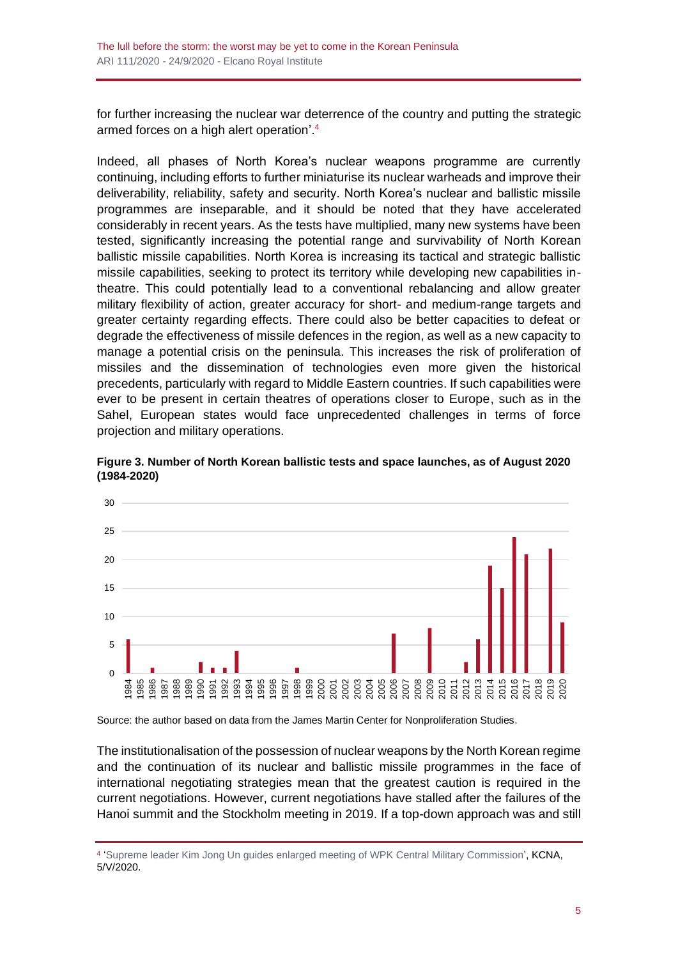for further increasing the nuclear war deterrence of the country and putting the strategic armed forces on a high alert operation'.<sup>4</sup>

Indeed, all phases of North Korea's nuclear weapons programme are currently continuing, including efforts to further miniaturise its nuclear warheads and improve their deliverability, reliability, safety and security. North Korea's nuclear and ballistic missile programmes are inseparable, and it should be noted that they have accelerated considerably in recent years. As the tests have multiplied, many new systems have been tested, significantly increasing the potential range and survivability of North Korean ballistic missile capabilities. North Korea is increasing its tactical and strategic ballistic missile capabilities, seeking to protect its territory while developing new capabilities intheatre. This could potentially lead to a conventional rebalancing and allow greater military flexibility of action, greater accuracy for short- and medium-range targets and greater certainty regarding effects. There could also be better capacities to defeat or degrade the effectiveness of missile defences in the region, as well as a new capacity to manage a potential crisis on the peninsula. This increases the risk of proliferation of missiles and the dissemination of technologies even more given the historical precedents, particularly with regard to Middle Eastern countries. If such capabilities were ever to be present in certain theatres of operations closer to Europe, such as in the Sahel, European states would face unprecedented challenges in terms of force projection and military operations.



**Figure 3. Number of North Korean ballistic tests and space launches, as of August 2020 (1984-2020)**

Source: the author based on data from the James Martin Center for Nonproliferation Studies.

The institutionalisation of the possession of nuclear weapons by the North Korean regime and the continuation of its nuclear and ballistic missile programmes in the face of international negotiating strategies mean that the greatest caution is required in the current negotiations. However, current negotiations have stalled after the failures of the Hanoi summit and the Stockholm meeting in 2019. If a top-down approach was and still

<sup>&</sup>lt;sup>4</sup> ['Supreme leader Kim Jong Un guides enlarged meeting of WPK Central Military Commission',](https://kcnawatch.org/newstream/1590270444-805396340/supreme-leader-kim-jong-un-guides-enlarged-meeting-of-wpk-central-military-commission/?t=1590280336692) KCNA, 5/V/2020.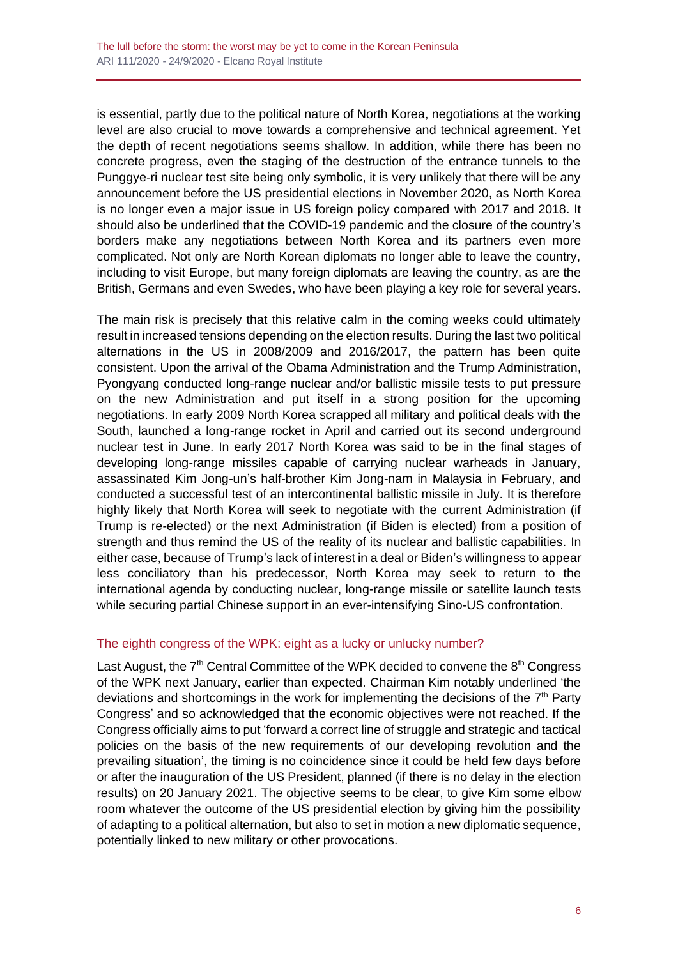is essential, partly due to the political nature of North Korea, negotiations at the working level are also crucial to move towards a comprehensive and technical agreement. Yet the depth of recent negotiations seems shallow. In addition, while there has been no concrete progress, even the staging of the destruction of the entrance tunnels to the Punggye-ri nuclear test site being only symbolic, it is very unlikely that there will be any announcement before the US presidential elections in November 2020, as North Korea is no longer even a major issue in US foreign policy compared with 2017 and 2018. It should also be underlined that the COVID-19 pandemic and the closure of the country's borders make any negotiations between North Korea and its partners even more complicated. Not only are North Korean diplomats no longer able to leave the country, including to visit Europe, but many foreign diplomats are leaving the country, as are the British, Germans and even Swedes, who have been playing a key role for several years.

The main risk is precisely that this relative calm in the coming weeks could ultimately result in increased tensions depending on the election results. During the last two political alternations in the US in 2008/2009 and 2016/2017, the pattern has been quite consistent. Upon the arrival of the Obama Administration and the Trump Administration, Pyongyang conducted long-range nuclear and/or ballistic missile tests to put pressure on the new Administration and put itself in a strong position for the upcoming negotiations. In early 2009 North Korea scrapped all military and political deals with the South, launched a long-range rocket in April and carried out its second underground nuclear test in June. In early 2017 North Korea was said to be in the final stages of developing long-range missiles capable of carrying nuclear warheads in January, assassinated Kim Jong-un's half-brother Kim Jong-nam in Malaysia in February, and conducted a successful test of an intercontinental ballistic missile in July. It is therefore highly likely that North Korea will seek to negotiate with the current Administration (if Trump is re-elected) or the next Administration (if Biden is elected) from a position of strength and thus remind the US of the reality of its nuclear and ballistic capabilities. In either case, because of Trump's lack of interest in a deal or Biden's willingness to appear less conciliatory than his predecessor, North Korea may seek to return to the international agenda by conducting nuclear, long-range missile or satellite launch tests while securing partial Chinese support in an ever-intensifying Sino-US confrontation.

## The eighth congress of the WPK: eight as a lucky or unlucky number?

Last August, the  $7<sup>th</sup>$  Central Committee of the WPK decided to convene the  $8<sup>th</sup>$  Congress of the WPK next January, earlier than expected. Chairman Kim notably underlined 'the deviations and shortcomings in the work for implementing the decisions of the  $7<sup>th</sup>$  Party Congress' and so acknowledged that the economic objectives were not reached. If the Congress officially aims to put 'forward a correct line of struggle and strategic and tactical policies on the basis of the new requirements of our developing revolution and the prevailing situation', the timing is no coincidence since it could be held few days before or after the inauguration of the US President, planned (if there is no delay in the election results) on 20 January 2021. The objective seems to be clear, to give Kim some elbow room whatever the outcome of the US presidential election by giving him the possibility of adapting to a political alternation, but also to set in motion a new diplomatic sequence, potentially linked to new military or other provocations.